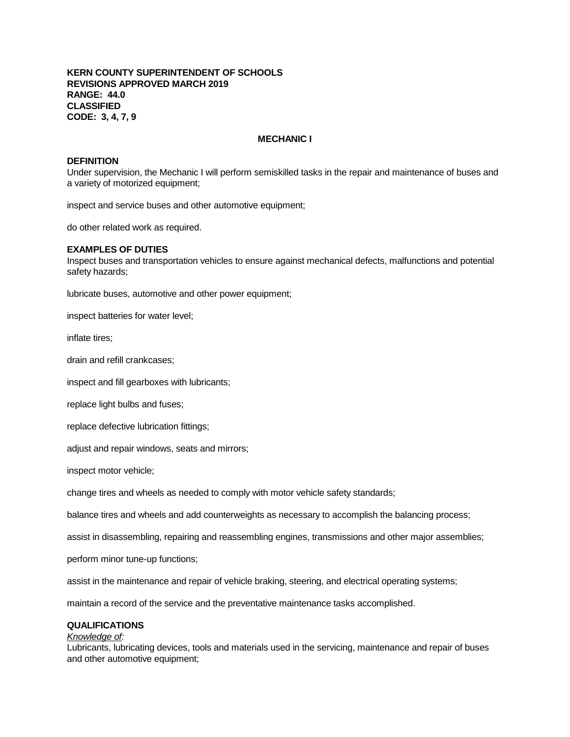## **KERN COUNTY SUPERINTENDENT OF SCHOOLS REVISIONS APPROVED MARCH 2019 RANGE: 44.0 CLASSIFIED CODE: 3, 4, 7, 9**

## **MECHANIC I**

### **DEFINITION**

Under supervision, the Mechanic I will perform semiskilled tasks in the repair and maintenance of buses and a variety of motorized equipment;

inspect and service buses and other automotive equipment;

do other related work as required.

### **EXAMPLES OF DUTIES**

Inspect buses and transportation vehicles to ensure against mechanical defects, malfunctions and potential safety hazards;

lubricate buses, automotive and other power equipment;

inspect batteries for water level;

inflate tires;

drain and refill crankcases;

inspect and fill gearboxes with lubricants;

replace light bulbs and fuses;

replace defective lubrication fittings;

adjust and repair windows, seats and mirrors;

inspect motor vehicle;

change tires and wheels as needed to comply with motor vehicle safety standards;

balance tires and wheels and add counterweights as necessary to accomplish the balancing process;

assist in disassembling, repairing and reassembling engines, transmissions and other major assemblies;

perform minor tune-up functions;

assist in the maintenance and repair of vehicle braking, steering, and electrical operating systems;

maintain a record of the service and the preventative maintenance tasks accomplished.

# **QUALIFICATIONS**

## *Knowledge of:*

Lubricants, lubricating devices, tools and materials used in the servicing, maintenance and repair of buses and other automotive equipment;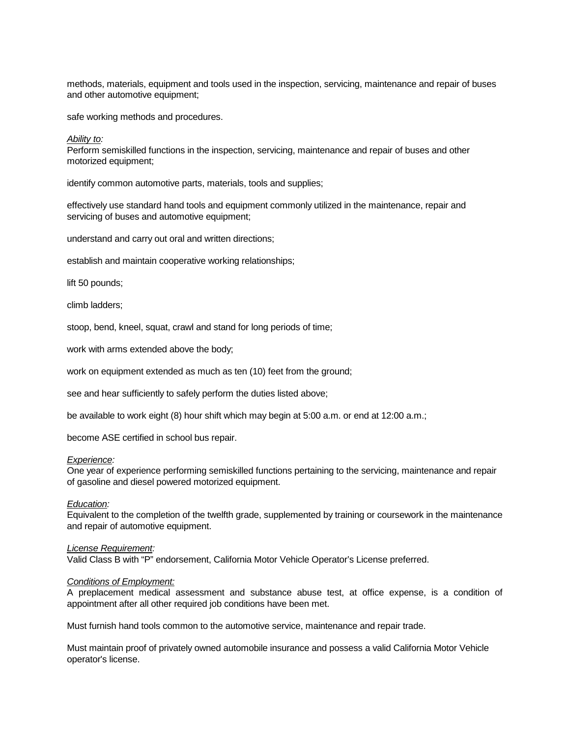methods, materials, equipment and tools used in the inspection, servicing, maintenance and repair of buses and other automotive equipment;

safe working methods and procedures.

#### *Ability to:*

Perform semiskilled functions in the inspection, servicing, maintenance and repair of buses and other motorized equipment;

identify common automotive parts, materials, tools and supplies;

effectively use standard hand tools and equipment commonly utilized in the maintenance, repair and servicing of buses and automotive equipment;

understand and carry out oral and written directions;

establish and maintain cooperative working relationships;

lift 50 pounds;

climb ladders;

stoop, bend, kneel, squat, crawl and stand for long periods of time;

work with arms extended above the body;

work on equipment extended as much as ten (10) feet from the ground;

see and hear sufficiently to safely perform the duties listed above;

be available to work eight (8) hour shift which may begin at 5:00 a.m. or end at 12:00 a.m.;

become ASE certified in school bus repair.

### *Experience:*

One year of experience performing semiskilled functions pertaining to the servicing, maintenance and repair of gasoline and diesel powered motorized equipment.

## *Education:*

Equivalent to the completion of the twelfth grade, supplemented by training or coursework in the maintenance and repair of automotive equipment.

#### *License Requirement:*

Valid Class B with "P" endorsement, California Motor Vehicle Operator's License preferred.

#### *Conditions of Employment:*

A preplacement medical assessment and substance abuse test, at office expense, is a condition of appointment after all other required job conditions have been met.

Must furnish hand tools common to the automotive service, maintenance and repair trade.

Must maintain proof of privately owned automobile insurance and possess a valid California Motor Vehicle operator's license.